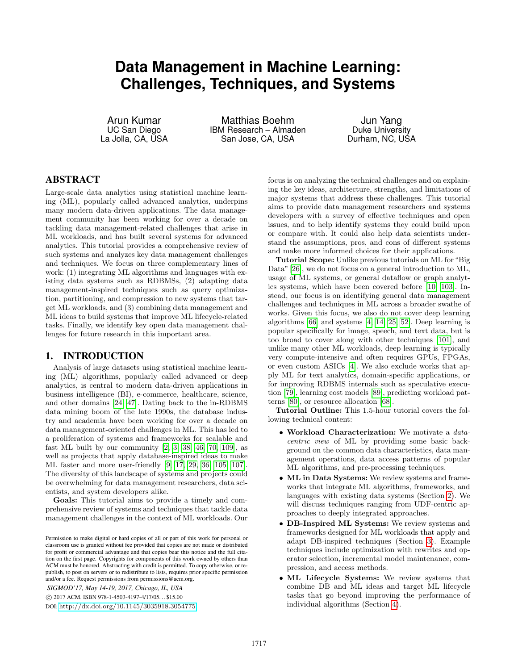# **Data Management in Machine Learning: Challenges, Techniques, and Systems**

Arun Kumar UC San Diego La Jolla, CA, USA

Matthias Boehm IBM Research – Almaden San Jose, CA, USA

Jun Yang Duke University Durham, NC, USA

## ABSTRACT

Large-scale data analytics using statistical machine learning (ML), popularly called advanced analytics, underpins many modern data-driven applications. The data management community has been working for over a decade on tackling data management-related challenges that arise in ML workloads, and has built several systems for advanced analytics. This tutorial provides a comprehensive review of such systems and analyzes key data management challenges and techniques. We focus on three complementary lines of work: (1) integrating ML algorithms and languages with existing data systems such as RDBMSs, (2) adapting data management-inspired techniques such as query optimization, partitioning, and compression to new systems that target ML workloads, and (3) combining data management and ML ideas to build systems that improve ML lifecycle-related tasks. Finally, we identify key open data management challenges for future research in this important area.

#### 1. INTRODUCTION

Analysis of large datasets using statistical machine learning (ML) algorithms, popularly called advanced or deep analytics, is central to modern data-driven applications in business intelligence (BI), e-commerce, healthcare, science, and other domains [\[24,](#page-4-0) [47\]](#page-5-0). Dating back to the in-RDBMS data mining boom of the late 1990s, the database industry and academia have been working for over a decade on data management-oriented challenges in ML. This has led to a proliferation of systems and frameworks for scalable and fast ML built by our community [\[2,](#page-4-1) [3,](#page-4-2) [38,](#page-4-3) [46,](#page-5-1) [70,](#page-5-2) [109\]](#page-5-3), as well as projects that apply database-inspired ideas to make ML faster and more user-friendly [\[9,](#page-4-4) [17,](#page-4-5) [29,](#page-4-6) [36,](#page-4-7) [105,](#page-5-4) [107\]](#page-5-5). The diversity of this landscape of systems and projects could be overwhelming for data management researchers, data scientists, and system developers alike.

Goals: This tutorial aims to provide a timely and comprehensive review of systems and techniques that tackle data management challenges in the context of ML workloads. Our

*SIGMOD'17, May 14-19, 2017, Chicago, IL, USA* c 2017 ACM. ISBN 978-1-4503-4197-4/17/05. . . \$15.00

DOI: <http://dx.doi.org/10.1145/3035918.3054775>

focus is on analyzing the technical challenges and on explaining the key ideas, architecture, strengths, and limitations of major systems that address these challenges. This tutorial aims to provide data management researchers and systems developers with a survey of effective techniques and open issues, and to help identify systems they could build upon or compare with. It could also help data scientists understand the assumptions, pros, and cons of different systems and make more informed choices for their applications.

Tutorial Scope: Unlike previous tutorials on ML for "Big Data" [\[26\]](#page-4-8), we do not focus on a general introduction to ML, usage of ML systems, or general dataflow or graph analytics systems, which have been covered before [\[10,](#page-4-9) [103\]](#page-5-6). Instead, our focus is on identifying general data management challenges and techniques in ML across a broader swathe of works. Given this focus, we also do not cover deep learning algorithms [\[66\]](#page-5-7) and systems [\[4,](#page-4-10) [14,](#page-4-11) [25,](#page-4-12) [52\]](#page-5-8). Deep learning is popular specifically for image, speech, and text data, but is too broad to cover along with other techniques [\[101\]](#page-5-9), and unlike many other ML workloads, deep learning is typically very compute-intensive and often requires GPUs, FPGAs, or even custom ASICs [\[4\]](#page-4-10). We also exclude works that apply ML for text analytics, domain-specific applications, or for improving RDBMS internals such as speculative execution [\[79\]](#page-5-10), learning cost models [\[89\]](#page-5-11), predicting workload patterns [\[80\]](#page-5-12), or resource allocation [\[68\]](#page-5-13).

Tutorial Outline: This 1.5-hour tutorial covers the following technical content:

- Workload Characterization: We motivate a datacentric view of ML by providing some basic background on the common data characteristics, data management operations, data access patterns of popular ML algorithms, and pre-processing techniques.
- ML in Data Systems: We review systems and frameworks that integrate ML algorithms, frameworks, and languages with existing data systems (Section [2\)](#page-1-0). We will discuss techniques ranging from UDF-centric approaches to deeply integrated approaches.
- DB-Inspired ML Systems: We review systems and frameworks designed for ML workloads that apply and adapt DB-inspired techniques (Section [3\)](#page-1-1). Example techniques include optimization with rewrites and operator selection, incremental model maintenance, compression, and access methods.
- ML Lifecycle Systems: We review systems that combine DB and ML ideas and target ML lifecycle tasks that go beyond improving the performance of individual algorithms (Section [4\)](#page-2-0).

Permission to make digital or hard copies of all or part of this work for personal or classroom use is granted without fee provided that copies are not made or distributed for profit or commercial advantage and that copies bear this notice and the full citation on the first page. Copyrights for components of this work owned by others than ACM must be honored. Abstracting with credit is permitted. To copy otherwise, or republish, to post on servers or to redistribute to lists, requires prior specific permission and/or a fee. Request permissions from permissions@acm.org.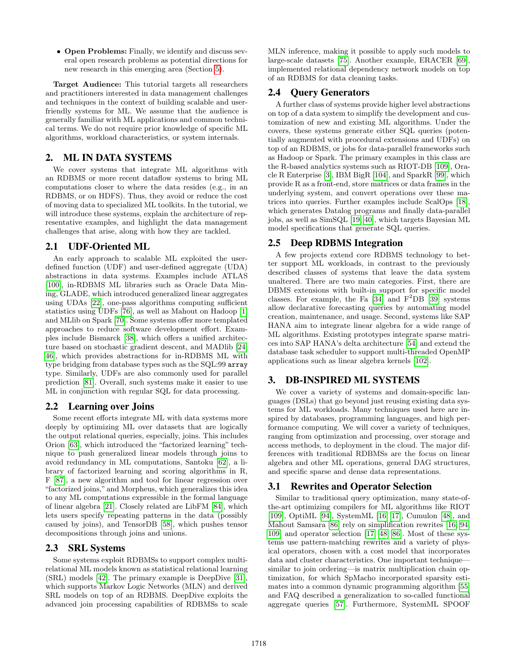• Open Problems: Finally, we identify and discuss several open research problems as potential directions for new research in this emerging area (Section [5\)](#page-3-0).

Target Audience: This tutorial targets all researchers and practitioners interested in data management challenges and techniques in the context of building scalable and userfriendly systems for ML. We assume that the audience is generally familiar with ML applications and common technical terms. We do not require prior knowledge of specific ML algorithms, workload characteristics, or system internals.

## <span id="page-1-0"></span>2. ML IN DATA SYSTEMS

We cover systems that integrate ML algorithms with an RDBMS or more recent dataflow systems to bring ML computations closer to where the data resides (e.g., in an RDBMS, or on HDFS). Thus, they avoid or reduce the cost of moving data to specialized ML toolkits. In the tutorial, we will introduce these systems, explain the architecture of representative examples, and highlight the data management challenges that arise, along with how they are tackled.

## 2.1 UDF-Oriented ML

An early approach to scalable ML exploited the userdefined function (UDF) and user-defined aggregate (UDA) abstractions in data systems. Examples include ATLAS [\[100\]](#page-5-14), in-RDBMS ML libraries such as Oracle Data Mining, GLADE, which introduced generalized linear aggregates using UDAs [\[22\]](#page-4-13), one-pass algorithms computing sufficient statistics using UDFs [\[76\]](#page-5-15), as well as Mahout on Hadoop [\[1\]](#page-4-14) and MLlib on Spark [\[70\]](#page-5-2). Some systems offer more templated approaches to reduce software development effort. Examples include Bismarck [\[38\]](#page-4-3), which offers a unified architecture based on stochastic gradient descent, and MADlib [\[24,](#page-4-0) [46\]](#page-5-1), which provides abstractions for in-RDBMS ML with type bridging from database types such as the SQL:99 array type. Similarly, UDFs are also commonly used for parallel prediction [\[81\]](#page-5-16). Overall, such systems make it easier to use ML in conjunction with regular SQL for data processing.

# 2.2 Learning over Joins

Some recent efforts integrate ML with data systems more deeply by optimizing ML over datasets that are logically the output relational queries, especially, joins. This includes Orion [\[63\]](#page-5-17), which introduced the "factorized learning" technique to push generalized linear models through joins to avoid redundancy in ML computations, Santoku [\[62\]](#page-5-18), a library of factorized learning and scoring algorithms in R, F [\[87\]](#page-5-19), a new algorithm and tool for linear regression over "factorized joins," and Morpheus, which generalizes this idea to any ML computations expressible in the formal language of linear algebra [\[21\]](#page-4-15). Closely related are LibFM [\[84\]](#page-5-20), which lets users specify repeating patterns in the data (possibly caused by joins), and TensorDB [\[58\]](#page-5-21), which pushes tensor decompositions through joins and unions.

## 2.3 SRL Systems

Some systems exploit RDBMSs to support complex multirelational ML models known as statistical relational learning (SRL) models [\[42\]](#page-4-16). The primary example is DeepDive [\[31\]](#page-4-17), which supports Markov Logic Networks (MLN) and derived SRL models on top of an RDBMS. DeepDive exploits the advanced join processing capabilities of RDBMSs to scale MLN inference, making it possible to apply such models to large-scale datasets [\[75\]](#page-5-22). Another example, ERACER [\[69\]](#page-5-23), implemented relational dependency network models on top of an RDBMS for data cleaning tasks.

## 2.4 Query Generators

A further class of systems provide higher level abstractions on top of a data system to simplify the development and customization of new and existing ML algorithms. Under the covers, these systems generate either SQL queries (potentially augmented with procedural extensions and UDFs) on top of an RDBMS, or jobs for data-parallel frameworks such as Hadoop or Spark. The primary examples in this class are the R-based analytics systems such as RIOT-DB [\[109\]](#page-5-3), Oracle R Enterprise [\[3\]](#page-4-2), IBM BigR [\[104\]](#page-5-24), and SparkR [\[99\]](#page-5-25), which provide R as a front-end, store matrices or data frames in the underlying system, and convert operations over these matrices into queries. Further examples include ScalOps [\[18\]](#page-4-18), which generates Datalog programs and finally data-parallel jobs, as well as SimSQL [\[19,](#page-4-19) [40\]](#page-4-20), which targets Bayesian ML model specifications that generate SQL queries.

# 2.5 Deep RDBMS Integration

A few projects extend core RDBMS technology to better support ML workloads, in contrast to the previously described classes of systems that leave the data system unaltered. There are two main categories. First, there are DBMS extensions with built-in support for specific model classes. For example, the Fa  $[34]$  and  $F^2DB$   $[39]$  systems allow declarative forecasting queries by automating model creation, maintenance, and usage. Second, systems like SAP HANA aim to integrate linear algebra for a wide range of ML algorithms. Existing prototypes integrate sparse matrices into SAP HANA's delta architecture [\[54\]](#page-5-26) and extend the database task scheduler to support multi-threaded OpenMP applications such as linear algebra kernels [\[102\]](#page-5-27).

# <span id="page-1-1"></span>3. DB-INSPIRED ML SYSTEMS

We cover a variety of systems and domain-specific languages (DSLs) that go beyond just reusing existing data systems for ML workloads. Many techniques used here are inspired by databases, programming languages, and high performance computing. We will cover a variety of techniques, ranging from optimization and processing, over storage and access methods, to deployment in the cloud. The major differences with traditional RDBMSs are the focus on linear algebra and other ML operations, general DAG structures, and specific sparse and dense data representations.

# 3.1 Rewrites and Operator Selection

Similar to traditional query optimization, many state-ofthe-art optimizing compilers for ML algorithms like RIOT [\[109\]](#page-5-3), OptiML [\[94\]](#page-5-28), SystemML [\[16,](#page-4-23) [17\]](#page-4-5), Cumulon [\[48\]](#page-5-29), and Mahout Samsara [\[86\]](#page-5-30) rely on simplification rewrites [\[16,](#page-4-23) [94,](#page-5-28) [109\]](#page-5-3) and operator selection [\[17,](#page-4-5) [48,](#page-5-29) [86\]](#page-5-30). Most of these systems use pattern-matching rewrites and a variety of physical operators, chosen with a cost model that incorporates data and cluster characteristics. One important technique similar to join ordering—is matrix multiplication chain optimization, for which SpMacho incorporated sparsity estimates into a common dynamic programming algorithm [\[55\]](#page-5-31) and FAQ described a generalization to so-called functional aggregate queries [\[57\]](#page-5-32). Furthermore, SystemML SPOOF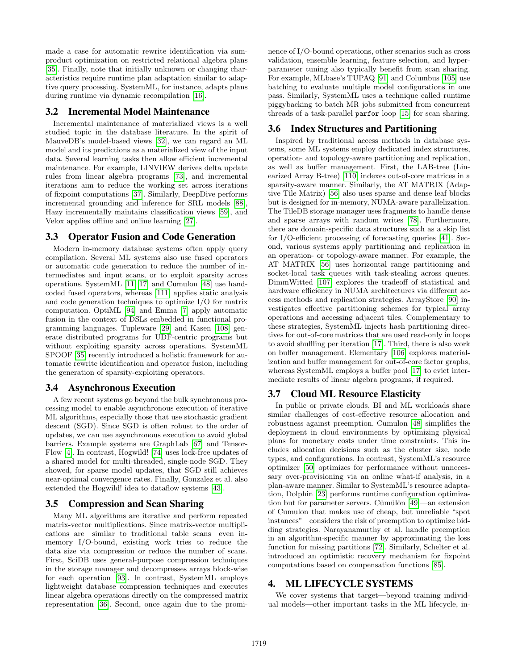made a case for automatic rewrite identification via sumproduct optimization on restricted relational algebra plans [\[35\]](#page-4-24). Finally, note that initially unknown or changing characteristics require runtime plan adaptation similar to adaptive query processing. SystemML, for instance, adapts plans during runtime via dynamic recompilation [\[16\]](#page-4-23).

## 3.2 Incremental Model Maintenance

Incremental maintenance of materialized views is a well studied topic in the database literature. In the spirit of MauveDB's model-based views [\[32\]](#page-4-25), we can regard an ML model and its predictions as a materialized view of the input data. Several learning tasks then allow efficient incremental maintenance. For example, LINVIEW derives delta update rules from linear algebra programs [\[73\]](#page-5-33), and incremental iterations aim to reduce the working set across iterations of fixpoint computations [\[37\]](#page-4-26). Similarly, DeepDive performs incremental grounding and inference for SRL models [\[88\]](#page-5-34), Hazy incrementally maintains classification views [\[59\]](#page-5-35), and Velox applies offline and online learning [\[27\]](#page-4-27).

### 3.3 Operator Fusion and Code Generation

Modern in-memory database systems often apply query compilation. Several ML systems also use fused operators or automatic code generation to reduce the number of intermediates and input scans, or to exploit sparsity across operations. SystemML [\[11,](#page-4-28) [17\]](#page-4-5) and Cumulon [\[48\]](#page-5-29) use handcoded fused operators, whereas [\[111\]](#page-5-36) applies static analysis and code generation techniques to optimize I/O for matrix computation. OptiML [\[94\]](#page-5-28) and Emma [\[7\]](#page-4-29) apply automatic fusion in the context of DSLs embedded in functional programming languages. Tupleware [\[29\]](#page-4-6) and Kasen [\[108\]](#page-5-37) generate distributed programs for UDF-centric programs but without exploiting sparsity across operations. SystemML SPOOF [\[35\]](#page-4-24) recently introduced a holistic framework for automatic rewrite identification and operator fusion, including the generation of sparsity-exploiting operators.

#### 3.4 Asynchronous Execution

A few recent systems go beyond the bulk synchronous processing model to enable asynchronous execution of iterative ML algorithms, especially those that use stochastic gradient descent (SGD). Since SGD is often robust to the order of updates, we can use asynchronous execution to avoid global barriers. Example systems are GraphLab [\[67\]](#page-5-38) and Tensor-Flow [\[4\]](#page-4-10). In contrast, Hogwild! [\[74\]](#page-5-39) uses lock-free updates of a shared model for multi-threaded, single-node SGD. They showed, for sparse model updates, that SGD still achieves near-optimal convergence rates. Finally, Gonzalez et al. also extended the Hogwild! idea to dataflow systems [\[43\]](#page-4-30).

#### 3.5 Compression and Scan Sharing

Many ML algorithms are iterative and perform repeated matrix-vector multiplications. Since matrix-vector multiplications are—similar to traditional table scans—even inmemory I/O-bound, existing work tries to reduce the data size via compression or reduce the number of scans. First, SciDB uses general-purpose compression techniques in the storage manager and decompresses arrays block-wise for each operation [\[93\]](#page-5-40). In contrast, SystemML employs lightweight database compression techniques and executes linear algebra operations directly on the compressed matrix representation [\[36\]](#page-4-7). Second, once again due to the prominence of I/O-bound operations, other scenarios such as cross validation, ensemble learning, feature selection, and hyperparameter tuning also typically benefit from scan sharing. For example, MLbase's TUPAQ [\[91\]](#page-5-41) and Columbus [\[105\]](#page-5-4) use batching to evaluate multiple model configurations in one pass. Similarly, SystemML uses a technique called runtime piggybacking to batch MR jobs submitted from concurrent threads of a task-parallel parfor loop [\[15\]](#page-4-31) for scan sharing.

#### 3.6 Index Structures and Partitioning

Inspired by traditional access methods in database systems, some ML systems employ dedicated index structures, operation- and topology-aware partitioning and replication, as well as buffer management. First, the LAB-tree (Linearized Array B-tree) [\[110\]](#page-5-42) indexes out-of-core matrices in a sparsity-aware manner. Similarly, the AT MATRIX (Adaptive Tile Matrix) [\[56\]](#page-5-43) also uses sparse and dense leaf blocks but is designed for in-memory, NUMA-aware parallelization. The TileDB storage manager uses fragments to handle dense and sparse arrays with random writes [\[78\]](#page-5-44). Furthermore, there are domain-specific data structures such as a skip list for I/O-efficient processing of forecasting queries [\[41\]](#page-4-32). Second, various systems apply partitioning and replication in an operation- or topology-aware manner. For example, the AT MATRIX [\[56\]](#page-5-43) uses horizontal range partitioning and socket-local task queues with task-stealing across queues. DimmWitted [\[107\]](#page-5-5) explores the tradeoff of statistical and hardware efficiency in NUMA architectures via different access methods and replication strategies. ArrayStore [\[90\]](#page-5-45) investigates effective partitioning schemes for typical array operations and accessing adjacent tiles. Complementary to these strategies, SystemML injects hash partitioning directives for out-of-core matrices that are used read-only in loops to avoid shuffling per iteration [\[17\]](#page-4-5). Third, there is also work on buffer management. Elementary [\[106\]](#page-5-46) explores materialization and buffer management for out-of-core factor graphs, whereas SystemML employs a buffer pool [\[17\]](#page-4-5) to evict intermediate results of linear algebra programs, if required.

## 3.7 Cloud ML Resource Elasticity

In public or private clouds, BI and ML workloads share similar challenges of cost-effective resource allocation and robustness against preemption. Cumulon [\[48\]](#page-5-29) simplifies the deployment in cloud environments by optimizing physical plans for monetary costs under time constraints. This includes allocation decisions such as the cluster size, node types, and configurations. In contrast, SystemML's resource optimizer [\[50\]](#page-5-47) optimizes for performance without unnecessary over-provisioning via an online what-if analysis, in a plan-aware manner. Similar to SystemML's resource adaptation, Dolphin [\[23\]](#page-4-33) performs runtime configuration optimiza-tion but for parameter servers. Cümülön [\[49\]](#page-5-48)—an extension of Cumulon that makes use of cheap, but unreliable "spot instances"—considers the risk of preemption to optimize bidding strategies. Narayanamurthy et al. handle preemption in an algorithm-specific manner by approximating the loss function for missing partitions [\[72\]](#page-5-49). Similarly, Schelter et al. introduced an optimistic recovery mechanism for fixpoint computations based on compensation functions [\[85\]](#page-5-50).

#### <span id="page-2-0"></span>4. ML LIFECYCLE SYSTEMS

We cover systems that target—beyond training individual models—other important tasks in the ML lifecycle, in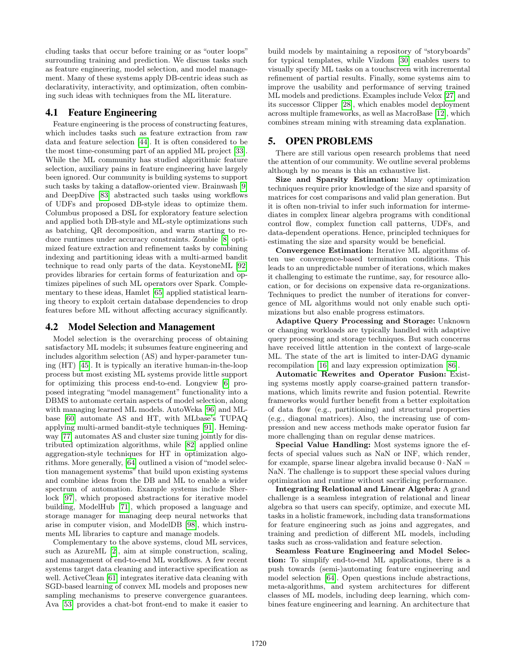cluding tasks that occur before training or as "outer loops" surrounding training and prediction. We discuss tasks such as feature engineering, model selection, and model management. Many of these systems apply DB-centric ideas such as declarativity, interactivity, and optimization, often combining such ideas with techniques from the ML literature.

#### 4.1 Feature Engineering

Feature engineering is the process of constructing features, which includes tasks such as feature extraction from raw data and feature selection [\[44\]](#page-4-34). It is often considered to be the most time-consuming part of an applied ML project [\[33\]](#page-4-35). While the ML community has studied algorithmic feature selection, auxiliary pains in feature engineering have largely been ignored. Our community is building systems to support such tasks by taking a dataflow-oriented view. Brainwash [\[9\]](#page-4-4) and DeepDive [\[83\]](#page-5-51) abstracted such tasks using workflows of UDFs and proposed DB-style ideas to optimize them. Columbus proposed a DSL for exploratory feature selection and applied both DB-style and ML-style optimizations such as batching, QR decomposition, and warm starting to reduce runtimes under accuracy constraints. Zombie [\[8\]](#page-4-36) optimized feature extraction and refinement tasks by combining indexing and partitioning ideas with a multi-armed bandit technique to read only parts of the data. KeystoneML [\[92\]](#page-5-52) provides libraries for certain forms of featurization and optimizes pipelines of such ML operators over Spark. Complementary to these ideas, Hamlet [\[65\]](#page-5-53) applied statistical learning theory to exploit certain database dependencies to drop features before ML without affecting accuracy significantly.

#### 4.2 Model Selection and Management

Model selection is the overarching process of obtaining satisfactory ML models; it subsumes feature engineering and includes algorithm selection (AS) and hyper-parameter tuning (HT) [\[45\]](#page-4-37). It is typically an iterative human-in-the-loop process but most existing ML systems provide little support for optimizing this process end-to-end. Longview [\[6\]](#page-4-38) proposed integrating "model management" functionality into a DBMS to automate certain aspects of model selection, along with managing learned ML models. AutoWeka [\[96\]](#page-5-54) and MLbase [\[60\]](#page-5-55) automate AS and HT, with MLbase's TUPAQ applying multi-armed bandit-style techniques [\[91\]](#page-5-41). Hemingway [\[77\]](#page-5-56) automates AS and cluster size tuning jointly for distributed optimization algorithms, while [\[82\]](#page-5-57) applied online aggregation-style techniques for HT in optimization algorithms. More generally, [\[64\]](#page-5-58) outlined a vision of "model selection management systems" that build upon existing systems and combine ideas from the DB and ML to enable a wider spectrum of automation. Example systems include Sherlock [\[97\]](#page-5-59), which proposed abstractions for iterative model building, ModelHub [\[71\]](#page-5-60), which proposed a language and storage manager for managing deep neural networks that arise in computer vision, and ModelDB [\[98\]](#page-5-61), which instruments ML libraries to capture and manage models.

Complementary to the above systems, cloud ML services, such as AzureML [\[2\]](#page-4-1), aim at simple construction, scaling, and management of end-to-end ML workflows. A few recent systems target data cleaning and interactive specification as well. ActiveClean [\[61\]](#page-5-62) integrates iterative data cleaning with SGD-based learning of convex ML models and proposes new sampling mechanisms to preserve convergence guarantees. Ava [\[53\]](#page-5-63) provides a chat-bot front-end to make it easier to build models by maintaining a repository of "storyboards" for typical templates, while Vizdom [\[30\]](#page-4-39) enables users to visually specify ML tasks on a touchscreen with incremental refinement of partial results. Finally, some systems aim to improve the usability and performance of serving trained ML models and predictions. Examples include Velox [\[27\]](#page-4-27) and its successor Clipper [\[28\]](#page-4-40), which enables model deployment across multiple frameworks, as well as MacroBase [\[12\]](#page-4-41), which combines stream mining with streaming data explanation.

### <span id="page-3-0"></span>5. OPEN PROBLEMS

There are still various open research problems that need the attention of our community. We outline several problems although by no means is this an exhaustive list.

Size and Sparsity Estimation: Many optimization techniques require prior knowledge of the size and sparsity of matrices for cost comparisons and valid plan generation. But it is often non-trivial to infer such information for intermediates in complex linear algebra programs with conditional control flow, complex function call patterns, UDFs, and data-dependent operations. Hence, principled techniques for estimating the size and sparsity would be beneficial.

Convergence Estimation: Iterative ML algorithms often use convergence-based termination conditions. This leads to an unpredictable number of iterations, which makes it challenging to estimate the runtime, say, for resource allocation, or for decisions on expensive data re-organizations. Techniques to predict the number of iterations for convergence of ML algorithms would not only enable such optimizations but also enable progress estimators.

Adaptive Query Processing and Storage: Unknown or changing workloads are typically handled with adaptive query processing and storage techniques. But such concerns have received little attention in the context of large-scale ML. The state of the art is limited to inter-DAG dynamic recompilation [\[16\]](#page-4-23) and lazy expression optimization [\[86\]](#page-5-30).

Automatic Rewrites and Operator Fusion: Existing systems mostly apply coarse-grained pattern transformations, which limits rewrite and fusion potential. Rewrite frameworks would further benefit from a better exploitation of data flow (e.g., partitioning) and structural properties (e.g., diagonal matrices). Also, the increasing use of compression and new access methods make operator fusion far more challenging than on regular dense matrices.

Special Value Handling: Most systems ignore the effects of special values such as NaN or INF, which render, for example, sparse linear algebra invalid because  $0 \cdot \text{NaN} =$ NaN. The challenge is to support these special values during optimization and runtime without sacrificing performance.

Integrating Relational and Linear Algebra: A grand challenge is a seamless integration of relational and linear algebra so that users can specify, optimize, and execute ML tasks in a holistic framework, including data transformations for feature engineering such as joins and aggregates, and training and prediction of different ML models, including tasks such as cross-validation and feature selection.

Seamless Feature Engineering and Model Selection: To simplify end-to-end ML applications, there is a push towards (semi-)automating feature engineering and model selection [\[64\]](#page-5-58). Open questions include abstractions, meta-algorithms, and system architectures for different classes of ML models, including deep learning, which combines feature engineering and learning. An architecture that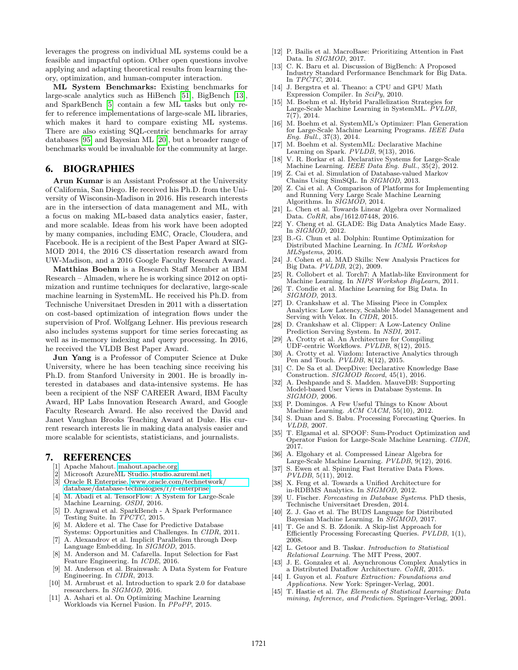leverages the progress on individual ML systems could be a feasible and impactful option. Other open questions involve applying and adapting theoretical results from learning theory, optimization, and human-computer interaction.

ML System Benchmarks: Existing benchmarks for large-scale analytics such as HiBench [\[51\]](#page-5-64), BigBench [\[13\]](#page-4-42), and SparkBench [\[5\]](#page-4-43) contain a few ML tasks but only refer to reference implementations of large-scale ML libraries, which makes it hard to compare existing ML systems. There are also existing SQL-centric benchmarks for array databases [\[95\]](#page-5-65) and Bayesian ML [\[20\]](#page-4-44), but a broader range of benchmarks would be invaluable for the community at large.

### 6. BIOGRAPHIES

Arun Kumar is an Assistant Professor at the University of California, San Diego. He received his Ph.D. from the University of Wisconsin-Madison in 2016. His research interests are in the intersection of data management and ML, with a focus on making ML-based data analytics easier, faster, and more scalable. Ideas from his work have been adopted by many companies, including EMC, Oracle, Cloudera, and Facebook. He is a recipient of the Best Paper Award at SIG-MOD 2014, the 2016 CS dissertation research award from UW-Madison, and a 2016 Google Faculty Research Award.

Matthias Boehm is a Research Staff Member at IBM Research – Almaden, where he is working since 2012 on optimization and runtime techniques for declarative, large-scale machine learning in SystemML. He received his Ph.D. from Technische Universitaet Dresden in 2011 with a dissertation on cost-based optimization of integration flows under the supervision of Prof. Wolfgang Lehner. His previous research also includes systems support for time series forecasting as well as in-memory indexing and query processing. In 2016, he received the VLDB Best Paper Award.

Jun Yang is a Professor of Computer Science at Duke University, where he has been teaching since receiving his Ph.D. from Stanford University in 2001. He is broadly interested in databases and data-intensive systems. He has been a recipient of the NSF CAREER Award, IBM Faculty Award, HP Labs Innovation Research Award, and Google Faculty Research Award. He also received the David and Janet Vaughan Brooks Teaching Award at Duke. His current research interests lie in making data analysis easier and more scalable for scientists, statisticians, and journalists.

#### <span id="page-4-14"></span>7. REFERENCES

- [1] Apache Mahout. [mahout.apache.org.](mahout.apache.org)
- <span id="page-4-1"></span>[2] Microsoft AzureML Studio. [studio.azureml.net.](studio.azureml.net)
- <span id="page-4-2"></span>[3] Oracle R Enterprise. [www.oracle.com/technetwork/](www.oracle.com/technetwork/database/database-technologies/r/r-enterprise) [database/database-technologies/r/r-enterprise.](www.oracle.com/technetwork/database/database-technologies/r/r-enterprise)
- <span id="page-4-10"></span>[4] M. Abadi et al. TensorFlow: A System for Large-Scale Machine Learning. OSDI, 2016.
- <span id="page-4-43"></span>[5] D. Agrawal et al. SparkBench - A Spark Performance Testing Suite. In TPCTC, 2015.
- <span id="page-4-38"></span>[6] M. Akdere et al. The Case for Predictive Database
- Systems: Opportunities and Challenges. In CIDR, 2011. [7] A. Alexandrov et al. Implicit Parallelism through Deep
- <span id="page-4-36"></span><span id="page-4-29"></span>Language Embedding. In SIGMOD, 2015. [8] M. Anderson and M. Cafarella. Input Selection for Fast Feature Engineering. In ICDE, 2016.
- <span id="page-4-4"></span>[9] M. Anderson et al. Brainwash: A Data System for Feature Engineering. In CIDR, 2013.
- <span id="page-4-9"></span>[10] M. Armbrust et al. Introduction to spark 2.0 for database researchers. In SIGMOD, 2016.
- <span id="page-4-28"></span>[11] A. Ashari et al. On Optimizing Machine Learning Workloads via Kernel Fusion. In PPoPP, 2015.
- <span id="page-4-41"></span>[12] P. Bailis et al. MacroBase: Prioritizing Attention in Fast Data. In SIGMOD, 2017.
- <span id="page-4-42"></span>[13] C. K. Baru et al. Discussion of BigBench: A Proposed Industry Standard Performance Benchmark for Big Data. In TPCTC, 2014.
- <span id="page-4-11"></span>[14] J. Bergstra et al. Theano: a CPU and GPU Math Expression Compiler. In SciPy, 2010.
- <span id="page-4-31"></span>[15] M. Boehm et al. Hybrid Parallelization Strategies for Large-Scale Machine Learning in SystemML. PVLDB, 7(7), 2014.
- <span id="page-4-23"></span>[16] M. Boehm et al. SystemML's Optimizer: Plan Generation for Large-Scale Machine Learning Programs. IEEE Data Eng. Bull., 37(3), 2014.
- <span id="page-4-5"></span>[17] M. Boehm et al. SystemML: Declarative Machine Learning on Spark. PVLDB, 9(13), 2016.
- <span id="page-4-18"></span>[18] V. R. Borkar et al. Declarative Systems for Large-Scale Machine Learning. IEEE Data Eng. Bull.,  $35(2)$ ,  $2012$ .
- <span id="page-4-19"></span>[19] Z. Cai et al. Simulation of Database-valued Markov Chains Using SimSQL. In SIGMOD, 2013.
- <span id="page-4-44"></span>[20] Z. Cai et al. A Comparison of Platforms for Implementing and Running Very Large Scale Machine Learning Algorithms. In SIGMOD, 2014.
- <span id="page-4-15"></span>[21] L. Chen et al. Towards Linear Algebra over Normalized Data. CoRR, abs/1612.07448, 2016.
- <span id="page-4-13"></span>[22] Y. Cheng et al. GLADE: Big Data Analytics Made Easy. In *SIGMOD*, 2012.
- <span id="page-4-33"></span>[23] B.-G. Chun et al. Dolphin: Runtime Optimization for Distributed Machine Learning. In ICML Workshop MLSystems, 2016.
- <span id="page-4-0"></span>[24] J. Cohen et al. MAD Skills: New Analysis Practices for Big Data. PVLDB, 2(2), 2009.
- <span id="page-4-12"></span>[25] R. Collobert et al. Torch7: A Matlab-like Environment for Machine Learning. In NIPS Workshop BigLearn, 2011.
- <span id="page-4-8"></span>[26] T. Condie et al. Machine Learning for Big Data. In SIGMOD, 2013.
- <span id="page-4-27"></span>[27] D. Crankshaw et al. The Missing Piece in Complex Analytics: Low Latency, Scalable Model Management and Serving with Velox. In CIDR, 2015.
- <span id="page-4-40"></span>[28] D. Crankshaw et al. Clipper: A Low-Latency Online Prediction Serving System. In NSDI, 2017.
- <span id="page-4-6"></span>[29] A. Crotty et al. An Architecture for Compiling UDF-centric Workflows. PVLDB, 8(12), 2015.
- <span id="page-4-39"></span>[30] A. Crotty et al. Vizdom: Interactive Analytics through Pen and Touch. PVLDB, 8(12), 2015.
- <span id="page-4-17"></span>[31] C. De Sa et al. DeepDive: Declarative Knowledge Base Construction. SIGMOD Record, 45(1), 2016.
- <span id="page-4-25"></span>[32] A. Deshpande and S. Madden. MauveDB: Supporting Model-based User Views in Database Systems. In SIGMOD, 2006.
- <span id="page-4-35"></span>[33] P. Domingos. A Few Useful Things to Know About Machine Learning. ACM CACM, 55(10), 2012.
- <span id="page-4-21"></span>[34] S. Duan and S. Babu. Processing Forecasting Queries. In VLDB, 2007.
- <span id="page-4-24"></span>[35] T. Elgamal et al. SPOOF: Sum-Product Optimization and Operator Fusion for Large-Scale Machine Learning. CIDR, 2017.
- <span id="page-4-7"></span>[36] A. Elgohary et al. Compressed Linear Algebra for Large-Scale Machine Learning. PVLDB, 9(12), 2016.
- <span id="page-4-26"></span>[37] S. Ewen et al. Spinning Fast Iterative Data Flows. PVLDB, 5(11), 2012.
- <span id="page-4-3"></span>[38] X. Feng et al. Towards a Unified Architecture for in-RDBMS Analytics. In SIGMOD, 2012.
- <span id="page-4-22"></span>[39] U. Fischer. Forecasting in Database Systems. PhD thesis, Technische Universitaet Dresden, 2014.
- <span id="page-4-20"></span>[40] Z. J. Gao et al. The BUDS Language for Distributed Bayesian Machine Learning. In SIGMOD, 2017.
- <span id="page-4-32"></span>[41] T. Ge and S. B. Zdonik. A Skip-list Approach for Efficiently Processing Forecasting Queries. PVLDB, 1(1), 2008.
- <span id="page-4-16"></span>[42] L. Getoor and B. Taskar. Introduction to Statistical Relational Learning. The MIT Press, 2007.
- <span id="page-4-30"></span>[43] J. E. Gonzalez et al. Asynchronous Complex Analytics in a Distributed Dataflow Architecture. CoRR, 2015.
- <span id="page-4-34"></span>[44] I. Guyon et al. Feature Extraction: Foundations and Applications. New York: Springer-Verlag, 2001.
- <span id="page-4-37"></span>[45] T. Hastie et al. The Elements of Statistical Learning: Data mining, Inference, and Prediction. Springer-Verlag, 2001.